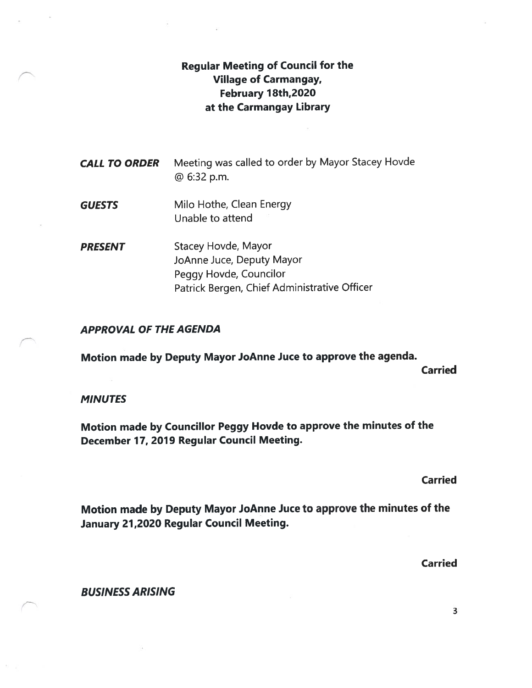## Regular Meeting of Council for the Village of Carmangay, February J8th,2020 at the Carmangay Library

| <b>CALL TO ORDER</b> | Meeting was called to order by Mayor Stacey Hovde<br>@ 6:32 p.m. |
|----------------------|------------------------------------------------------------------|
| <b>GUESTS</b>        | Milo Hothe, Clean Energy                                         |

Unable to attend

**PRESENT** Stacey Hovde, Mayor JoAnne Juce, Deputy Mayor Peggy Hovde, Councilor Patrick Bergen, Chief Administrative Officer

#### APPROVAL OF THE AGENDA

Motion made by Deputy Mayor JoAnne Juce to approve the agenda.

Carried

#### **MINUTES**

Motion made by Councillor Peggy Hovde to approve the minutes of the December 17, 2019 Regular Council Meeting.

Carried

Motion made by Deputy Mayor JoAnne Juce to approve the minutes of the January 21,2020 Regular Council Meeting.

Carried

BUSINESS ARISING

3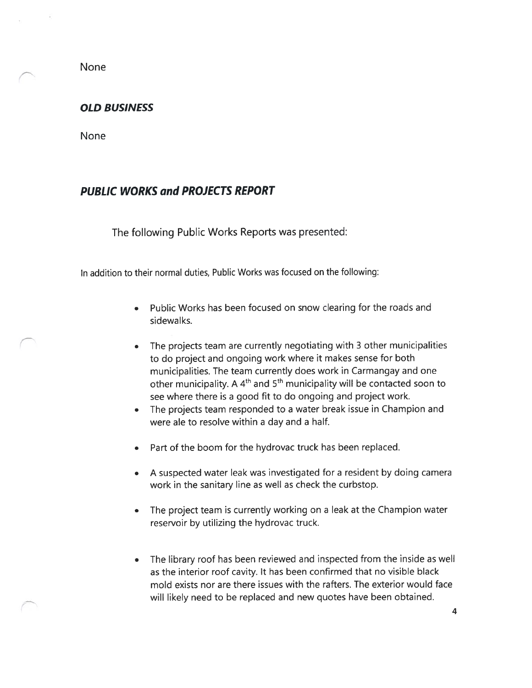None

#### OLD BUSINESS

None

#### PUBLIC WORKS and PROJECTS REPORT

The following Public Works Reports was presented:

In addition to their normal duties, Public Works was focused on the following:

- Public Works has been focused on snow cleating for the roads and sidewalks.
- The projects team are currently negotiating with 3 other municipalities to do project and ongoing work where it makes sense for both municipalities. The team currently does work in Carmangay and one other municipality. A  $4<sup>th</sup>$  and  $5<sup>th</sup>$  municipality will be contacted soon to see where there is a good fit to do ongoing and project work.
- The projects team responded to <sup>a</sup> water break issue in Champion and were ale to resolve within a day and a half.
- Part of the boom for the hydrovac truck has been replaced.
- A suspected water leak was investigated for a resident by doing camera work in the sanitary line as well as check the curbstop.
- The project team is currently working on a leak at the Champion water reservoir by utilizing the hydrovac truck.
- The library roof has been reviewed and inspected from the inside as well as the interior roof cavity. It has been confirmed that no visible black mold exists nor are there issues with the rafters. The exterior would face will likely need to be replaced and new quotes have been obtained.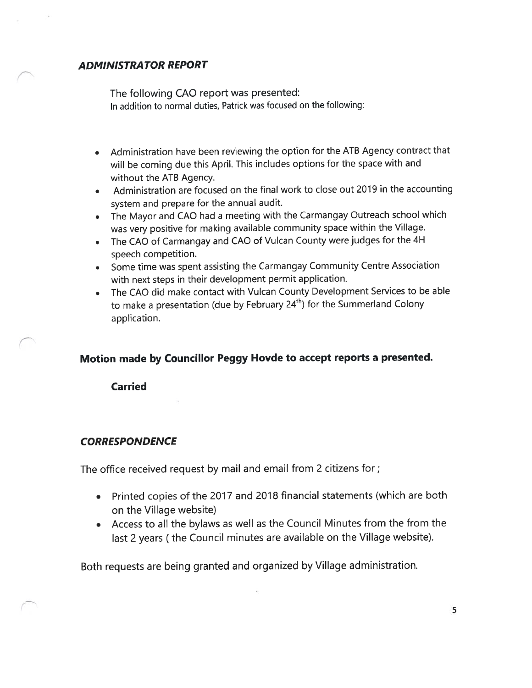### ADMINISTRATOR REPORT

The following CAO report was presented: In addition to normal duties, Patrick was focused on the following:

- Administration have been reviewing the option for the ATB Agency contract that will be coming due this April. This includes options for the space with and without the ATS Agency.
- Administration are focused on the final work to close out 2019 in the accounting system and prepare for the annual audit.
- The Mayor and CAO had <sup>a</sup> meeting with the Carmangay Outreach school which was very positive for making available community space within the Village.
- The CAO of Carmangay and CAO of Vulcan County were judges for the 4H speech competition.
- Some time was spent assisting the Carmangay Community Centre Association with next steps in their development permit application.
- The CAO did make contact with Vulcan County Development Services to be able to make a presentation (due by February  $24<sup>th</sup>$ ) for the Summerland Colony application.

### Motion made by Councillor Peggy Hovde to accept reports a presented.

Carried

#### **CORRESPONDENCE**

The office received request by mail and email from 2 citizens for;

- Printed copies of the 2017 and 2018 financial statements (which are both on the Village website)
- Access to all the bylaws as well as the Council Minutes from the from the last <sup>2</sup> years (the Council minutes are available on the Village website).

Both requests are being granted and organized by Village administration.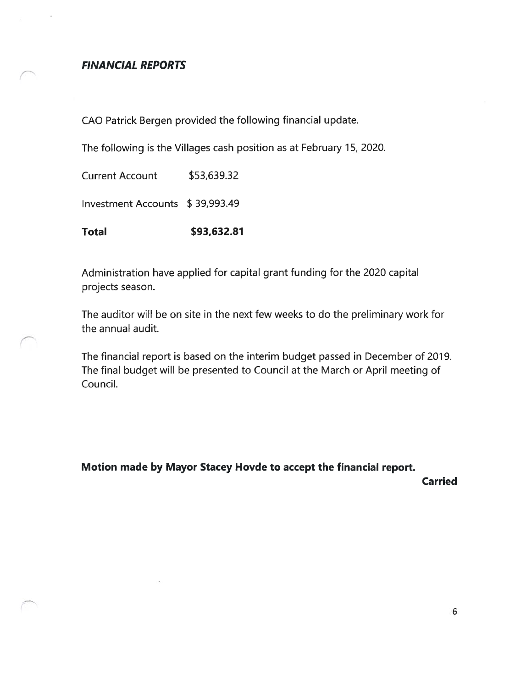#### FINANCIAL REPORTS

CAO Patrick Bergen provided the following financial update.

The following is the Villages cash position as at February 15, 2020.

Current Account \$53,639.32 Investment Accounts \$ 39,993.49 Total \$93,632.81

Administration have applied for capital grant funding for the 2020 capital projects season.

The auditor will be on site in the next few weeks to do the preliminary work for the annual audit.

The financial report is based on the interim budget passed in December of 2019. The final budget will be presented to Council at the March or April meeting of Council.

Motion made by Mayor Stacey Hovde to accept the financial report.

Carried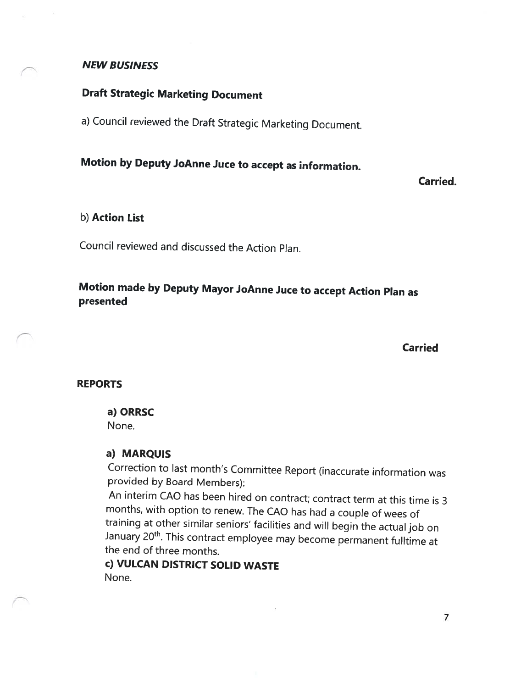#### NEW BUSINESS

## Draft Strategic Marketing Document

a) Council reviewed the Draft Strategic Marketing Document.

# Motion by Deputy JoAnne Juce to accept as information.

Carried.

#### b) Action List

Council reviewed and discussed the Action Plan.

## Motion made by Deputy Mayor JoAnne Juce to accept Action Plan as presented

Carried

#### REPORTS

#### a) ORRSC

None.

#### a) MARQUIS

Correction to last month's Committee Report (inaccurate information was provided by Board Members):

An interim CAO has been hired on contract; contract term at this time is <sup>3</sup> months, with option to renew. The CAO has had <sup>a</sup> couple of wees of training at other similar seniors' facilities and will begin the actual job on January 20<sup>th</sup>. This contract employee may become permanent fulltime at the end of three months.

## c) VULCAN DISTRICT SOLID WASTE None.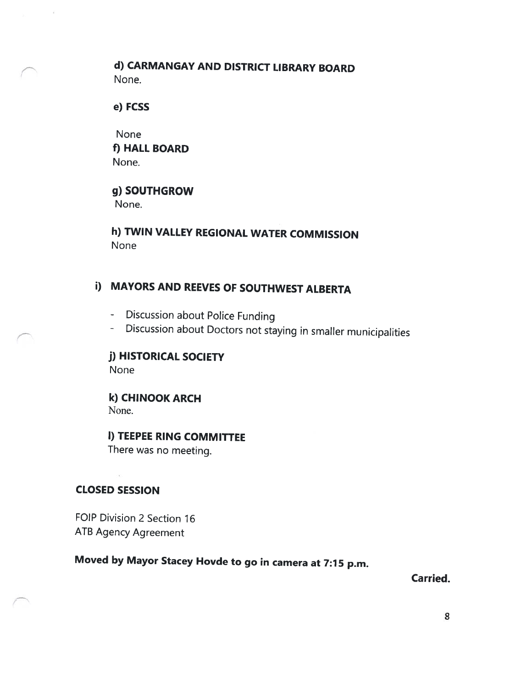## d) CARMANGAY AND DISTRICT LIBRARY BOARD None.

e) FCSS

None f) HALL BOARD None.

g) SOUTHGROW None.

h) TWIN VALLEY REGIONAL WATER COMMISSION None

## i) MAYORS AND REEVES OF SOUTHWEST ALBERTA

- Discussion about Police Funding
- Discussion about Doctors not staying in smaller municipalities

j) HISTORICAL SOCIETY None

k) CHINOOK ARCH None.

I) TEEPEE RING COMMITTEE There was no meeting.

CLOSED SESSION

FOIP Division 2 Section 16 ATB Agency Agreement

# Moved by Mayor Stacey Hovde to go in camera at 7:15 p.m.

Carried.